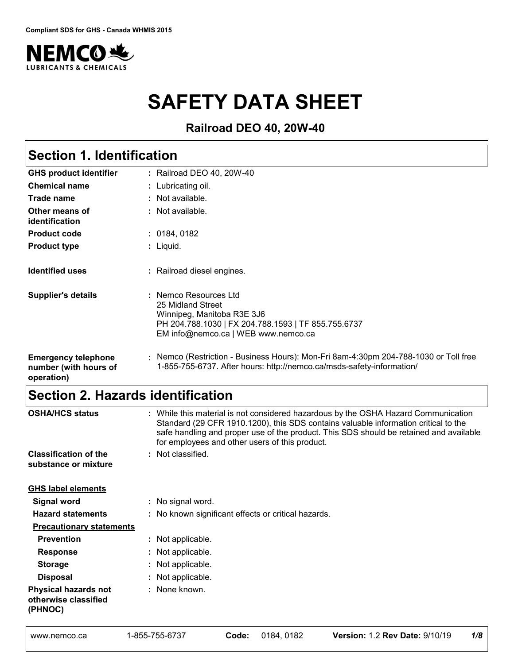

# **SAFETY DATA SHEET**

**Railroad DEO 40, 20W-40**

# **Section 1. Identification**

| <b>GHS product identifier</b>                                     | : Railroad DEO 40, 20W-40                                                                                                                                              |
|-------------------------------------------------------------------|------------------------------------------------------------------------------------------------------------------------------------------------------------------------|
| <b>Chemical name</b>                                              | : Lubricating oil.                                                                                                                                                     |
| Trade name                                                        | : Not available.                                                                                                                                                       |
| Other means of<br>identification                                  | : Not available.                                                                                                                                                       |
| <b>Product code</b>                                               | : 0184,0182                                                                                                                                                            |
| <b>Product type</b>                                               | : Liquid.                                                                                                                                                              |
| <b>Identified uses</b>                                            | : Railroad diesel engines.                                                                                                                                             |
| <b>Supplier's details</b>                                         | : Nemco Resources Ltd<br>25 Midland Street<br>Winnipeg, Manitoba R3E 3J6<br>PH 204.788.1030   FX 204.788.1593   TF 855.755.6737<br>EM info@nemco.ca   WEB www.nemco.ca |
| <b>Emergency telephone</b><br>number (with hours of<br>operation) | : Nemco (Restriction - Business Hours): Mon-Fri 8am-4:30pm 204-788-1030 or Toll free<br>1-855-755-6737. After hours: http://nemco.ca/msds-safety-information/          |

# **Section 2. Hazards identification**

| <b>OSHA/HCS status</b>                                         | : While this material is not considered hazardous by the OSHA Hazard Communication<br>Standard (29 CFR 1910.1200), this SDS contains valuable information critical to the<br>safe handling and proper use of the product. This SDS should be retained and available<br>for employees and other users of this product. |
|----------------------------------------------------------------|-----------------------------------------------------------------------------------------------------------------------------------------------------------------------------------------------------------------------------------------------------------------------------------------------------------------------|
| <b>Classification of the</b><br>substance or mixture           | : Not classified.                                                                                                                                                                                                                                                                                                     |
| <b>GHS label elements</b>                                      |                                                                                                                                                                                                                                                                                                                       |
| <b>Signal word</b>                                             | : No signal word.                                                                                                                                                                                                                                                                                                     |
| <b>Hazard statements</b>                                       | No known significant effects or critical hazards.                                                                                                                                                                                                                                                                     |
| <b>Precautionary statements</b>                                |                                                                                                                                                                                                                                                                                                                       |
| <b>Prevention</b>                                              | : Not applicable.                                                                                                                                                                                                                                                                                                     |
| <b>Response</b>                                                | Not applicable.                                                                                                                                                                                                                                                                                                       |
| <b>Storage</b>                                                 | Not applicable.                                                                                                                                                                                                                                                                                                       |
| <b>Disposal</b>                                                | Not applicable.                                                                                                                                                                                                                                                                                                       |
| <b>Physical hazards not</b><br>otherwise classified<br>(PHNOC) | None known.<br>÷.                                                                                                                                                                                                                                                                                                     |
| www.nemco.ca                                                   | 0184, 0182<br><b>Version: 1.2 Rev Date: 9/10/19</b><br>1/8<br>1-855-755-6737<br>Code:                                                                                                                                                                                                                                 |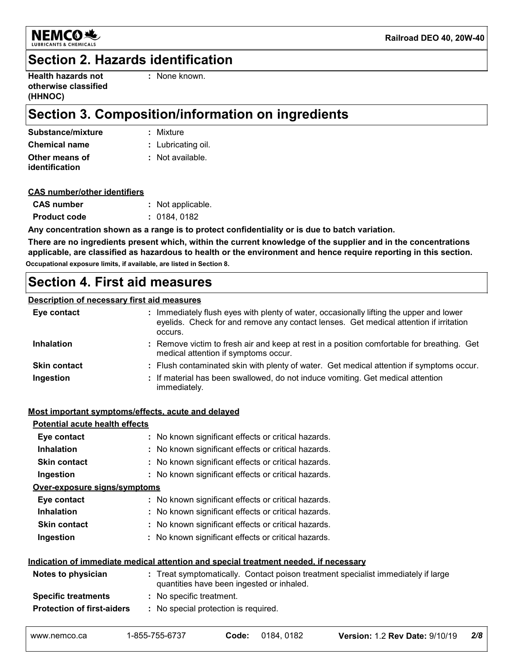

### **Section 2. Hazards identification**

**Health hazards not otherwise classified (HHNOC)**

**:** None known.

# **Section 3. Composition/information on ingredients**

| Substance/mixture    | : Mixture          |
|----------------------|--------------------|
| <b>Chemical name</b> | : Lubricating oil. |
| Other means of       | $:$ Not available. |
| identification       |                    |

### **CAS number/other identifiers**

| <b>CAS number</b>   | : Not applicable. |
|---------------------|-------------------|
| <b>Product code</b> | : 0184,0182       |

**Any concentration shown as a range is to protect confidentiality or is due to batch variation.**

**There are no ingredients present which, within the current knowledge of the supplier and in the concentrations applicable, are classified as hazardous to health or the environment and hence require reporting in this section. Occupational exposure limits, if available, are listed in Section 8.**

### **Section 4. First aid measures**

### **Description of necessary first aid measures**

| Eye contact         | : Immediately flush eyes with plenty of water, occasionally lifting the upper and lower<br>eyelids. Check for and remove any contact lenses. Get medical attention if irritation<br>occurs. |
|---------------------|---------------------------------------------------------------------------------------------------------------------------------------------------------------------------------------------|
| <b>Inhalation</b>   | : Remove victim to fresh air and keep at rest in a position comfortable for breathing. Get<br>medical attention if symptoms occur.                                                          |
| <b>Skin contact</b> | : Flush contaminated skin with plenty of water. Get medical attention if symptoms occur.                                                                                                    |
| Ingestion           | : If material has been swallowed, do not induce vomiting. Get medical attention<br>immediately.                                                                                             |

#### **Most important symptoms/effects, acute and delayed**

| Potential acute health effects    |                          |                                                                                             |                                                                                   |     |  |  |  |  |  |  |  |
|-----------------------------------|--------------------------|---------------------------------------------------------------------------------------------|-----------------------------------------------------------------------------------|-----|--|--|--|--|--|--|--|
| Eye contact                       |                          | : No known significant effects or critical hazards.                                         |                                                                                   |     |  |  |  |  |  |  |  |
| <b>Inhalation</b>                 |                          | : No known significant effects or critical hazards.                                         |                                                                                   |     |  |  |  |  |  |  |  |
| <b>Skin contact</b>               |                          | : No known significant effects or critical hazards.                                         |                                                                                   |     |  |  |  |  |  |  |  |
| Ingestion                         |                          | : No known significant effects or critical hazards.                                         |                                                                                   |     |  |  |  |  |  |  |  |
| Over-exposure signs/symptoms      |                          |                                                                                             |                                                                                   |     |  |  |  |  |  |  |  |
| Eye contact                       |                          | : No known significant effects or critical hazards.                                         |                                                                                   |     |  |  |  |  |  |  |  |
| <b>Inhalation</b>                 |                          | : No known significant effects or critical hazards.                                         |                                                                                   |     |  |  |  |  |  |  |  |
| <b>Skin contact</b>               |                          | : No known significant effects or critical hazards.                                         |                                                                                   |     |  |  |  |  |  |  |  |
| Ingestion                         |                          | : No known significant effects or critical hazards.                                         |                                                                                   |     |  |  |  |  |  |  |  |
|                                   |                          | <u>Indication of immediate medical attention and special treatment needed, if necessary</u> |                                                                                   |     |  |  |  |  |  |  |  |
| Notes to physician                |                          | quantities have been ingested or inhaled.                                                   | : Treat symptomatically. Contact poison treatment specialist immediately if large |     |  |  |  |  |  |  |  |
| <b>Specific treatments</b>        | : No specific treatment. |                                                                                             |                                                                                   |     |  |  |  |  |  |  |  |
| <b>Protection of first-aiders</b> |                          | : No special protection is required.                                                        |                                                                                   |     |  |  |  |  |  |  |  |
| www.nemco.ca                      | 1-855-755-6737           | 0184, 0182<br>Code:                                                                         | <b>Version: 1.2 Rev Date: 9/10/19</b>                                             | 2/8 |  |  |  |  |  |  |  |

| 1-855-755-6737<br>www.nemco.ca |  | Code: 0184, 0182 | <b>Version: 1.2 Rev Date: 9/10/19 2/8</b> |  |
|--------------------------------|--|------------------|-------------------------------------------|--|
|--------------------------------|--|------------------|-------------------------------------------|--|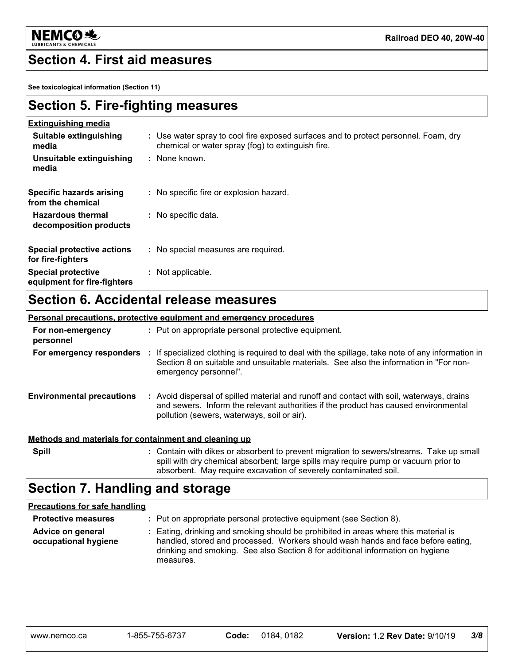

### **Section 4. First aid measures**

**See toxicological information (Section 11)**

### **Section 5. Fire-fighting measures**

| <b>Extinguishing media</b>                               |                                                                                                                                          |
|----------------------------------------------------------|------------------------------------------------------------------------------------------------------------------------------------------|
| Suitable extinguishing<br>media                          | : Use water spray to cool fire exposed surfaces and to protect personnel. Foam, dry<br>chemical or water spray (fog) to extinguish fire. |
| Unsuitable extinguishing<br>media                        | : None known.                                                                                                                            |
| <b>Specific hazards arising</b><br>from the chemical     | : No specific fire or explosion hazard.                                                                                                  |
| <b>Hazardous thermal</b><br>decomposition products       | : No specific data.                                                                                                                      |
| <b>Special protective actions</b><br>for fire-fighters   | : No special measures are required.                                                                                                      |
| <b>Special protective</b><br>equipment for fire-fighters | : Not applicable.                                                                                                                        |

### **Section 6. Accidental release measures**

#### **Personal precautions, protective equipment and emergency procedures**

| For non-emergency<br>personnel                        | : Put on appropriate personal protective equipment.                                                                                                                                                                             |
|-------------------------------------------------------|---------------------------------------------------------------------------------------------------------------------------------------------------------------------------------------------------------------------------------|
| For emergency responders                              | : If specialized clothing is required to deal with the spillage, take note of any information in<br>Section 8 on suitable and unsuitable materials. See also the information in "For non-<br>emergency personnel".              |
| <b>Environmental precautions</b>                      | : Avoid dispersal of spilled material and runoff and contact with soil, waterways, drains<br>and sewers. Inform the relevant authorities if the product has caused environmental<br>pollution (sewers, waterways, soil or air). |
| Methods and materials for containment and cleaning up |                                                                                                                                                                                                                                 |
| <b>Spill</b>                                          | : Contain with dikes or absorbent to prevent migration to sewers/streams. Take up small                                                                                                                                         |

### spill with dry chemical absorbent; large spills may require pump or vacuum prior to absorbent. May require excavation of severely contaminated soil.

# **Section 7. Handling and storage**

#### **Precautions for safe handling**

| <b>Protective measures</b>                | : Put on appropriate personal protective equipment (see Section 8).                                                                                                                                                                                                    |
|-------------------------------------------|------------------------------------------------------------------------------------------------------------------------------------------------------------------------------------------------------------------------------------------------------------------------|
| Advice on general<br>occupational hygiene | : Eating, drinking and smoking should be prohibited in areas where this material is<br>handled, stored and processed. Workers should wash hands and face before eating,<br>drinking and smoking. See also Section 8 for additional information on hygiene<br>measures. |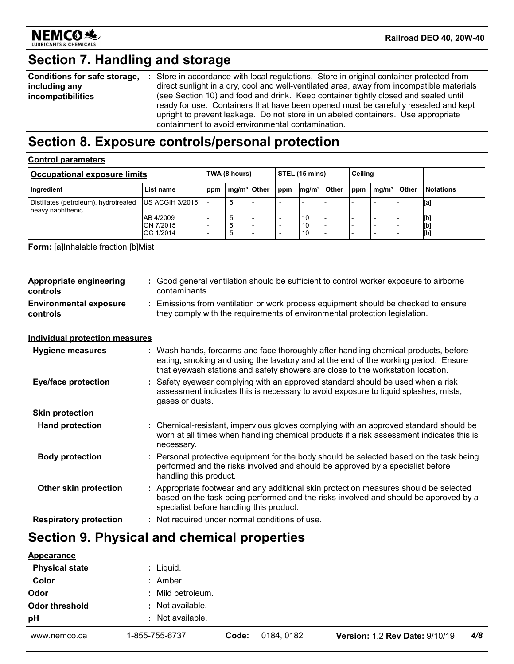

# **Section 7. Handling and storage**

| Conditions for safe storage, | : Store in accordance with local regulations. Store in original container protected from  |
|------------------------------|-------------------------------------------------------------------------------------------|
| including any                | direct sunlight in a dry, cool and well-ventilated area, away from incompatible materials |
| incompatibilities            | (see Section 10) and food and drink. Keep container tightly closed and sealed until       |
|                              | ready for use. Containers that have been opened must be carefully resealed and kept       |
|                              | upright to prevent leakage. Do not store in unlabeled containers. Use appropriate         |
|                              | containment to avoid environmental contamination.                                         |

# **Section 8. Exposure controls/personal protection**

### **Control parameters**

| <b>Occupational exposure limits</b>                       |                                     | TWA (8 hours) |                         | <b>STEL (15 mins)</b> |     |                   | Ceiling      |     |                   |              |                   |
|-----------------------------------------------------------|-------------------------------------|---------------|-------------------------|-----------------------|-----|-------------------|--------------|-----|-------------------|--------------|-------------------|
| Ingredient                                                | List name                           | ppm           | mg/m <sup>3</sup> Other |                       | ppm | mg/m <sup>3</sup> | <b>Other</b> | ppm | mq/m <sup>3</sup> | <b>Other</b> | <b>Notations</b>  |
| Distillates (petroleum), hydrotreated<br>heavy naphthenic | US ACGIH 3/2015                     |               | 5                       |                       |     |                   |              |     |                   |              | [a]               |
|                                                           | AB 4/2009<br>ON 7/2015<br>QC 1/2014 |               | c                       |                       |     | 10<br>10<br>10    |              |     |                   |              | [b]<br>[b]<br>[b] |

**Form:** [a]Inhalable fraction [b]Mist

| Appropriate engineering<br>controls       | : Good general ventilation should be sufficient to control worker exposure to airborne<br>contaminants.                                                                                                                                                       |
|-------------------------------------------|---------------------------------------------------------------------------------------------------------------------------------------------------------------------------------------------------------------------------------------------------------------|
| <b>Environmental exposure</b><br>controls | : Emissions from ventilation or work process equipment should be checked to ensure<br>they comply with the requirements of environmental protection legislation.                                                                                              |
| <b>Individual protection measures</b>     |                                                                                                                                                                                                                                                               |
| <b>Hygiene measures</b>                   | : Wash hands, forearms and face thoroughly after handling chemical products, before<br>eating, smoking and using the lavatory and at the end of the working period. Ensure<br>that eyewash stations and safety showers are close to the workstation location. |
| <b>Eye/face protection</b>                | : Safety eyewear complying with an approved standard should be used when a risk<br>assessment indicates this is necessary to avoid exposure to liquid splashes, mists,<br>gases or dusts.                                                                     |
| <b>Skin protection</b>                    |                                                                                                                                                                                                                                                               |
| <b>Hand protection</b>                    | : Chemical-resistant, impervious gloves complying with an approved standard should be<br>worn at all times when handling chemical products if a risk assessment indicates this is<br>necessary.                                                               |
| <b>Body protection</b>                    | : Personal protective equipment for the body should be selected based on the task being<br>performed and the risks involved and should be approved by a specialist before<br>handling this product.                                                           |
| Other skin protection                     | : Appropriate footwear and any additional skin protection measures should be selected<br>based on the task being performed and the risks involved and should be approved by a<br>specialist before handling this product.                                     |
| <b>Respiratory protection</b>             | Not required under normal conditions of use.                                                                                                                                                                                                                  |
|                                           |                                                                                                                                                                                                                                                               |

# **Section 9. Physical and chemical properties**

| <b>Appearance</b>     |                   |       |            |                                       |     |
|-----------------------|-------------------|-------|------------|---------------------------------------|-----|
| <b>Physical state</b> | $:$ Liquid.       |       |            |                                       |     |
| Color                 | : Amber.          |       |            |                                       |     |
| Odor                  | : Mild petroleum. |       |            |                                       |     |
| Odor threshold        | : Not available.  |       |            |                                       |     |
| pH                    | : Not available.  |       |            |                                       |     |
| www.nemco.ca          | 1-855-755-6737    | Code: | 0184, 0182 | <b>Version: 1.2 Rev Date: 9/10/19</b> | 4/8 |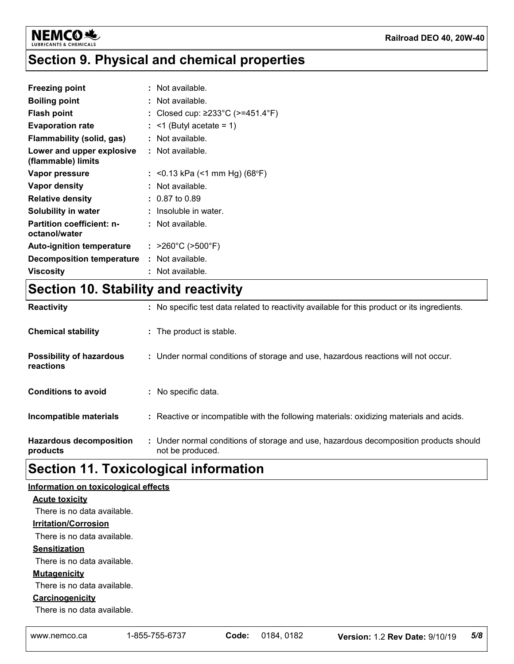

# **Section 9. Physical and chemical properties**

| <b>Freezing point</b>                             | : Not available.                 |
|---------------------------------------------------|----------------------------------|
| <b>Boiling point</b>                              | Not available.                   |
| <b>Flash point</b>                                | : Closed cup: ≥233°C (>=451.4°F) |
| <b>Evaporation rate</b>                           | $:$ <1 (Butyl acetate = 1)       |
| Flammability (solid, gas)                         | : Not available.                 |
| Lower and upper explosive<br>(flammable) limits   | : Not available.                 |
| Vapor pressure                                    | : <0.13 kPa (<1 mm Hg) (68°F)    |
| Vapor density                                     | : Not available.                 |
| <b>Relative density</b>                           | $: 0.87$ to $0.89$               |
| Solubility in water                               | Insoluble in water.              |
| <b>Partition coefficient: n-</b><br>octanol/water | : Not available.                 |
| <b>Auto-ignition temperature</b>                  | : >260°C (>500°F)                |
| <b>Decomposition temperature</b>                  | : Not available.                 |
| Viscosity                                         | : Not available.                 |

# **Section 10. Stability and reactivity**

| <b>Reactivity</b>                            | : No specific test data related to reactivity available for this product or its ingredients.              |
|----------------------------------------------|-----------------------------------------------------------------------------------------------------------|
| <b>Chemical stability</b>                    | : The product is stable.                                                                                  |
| <b>Possibility of hazardous</b><br>reactions | : Under normal conditions of storage and use, hazardous reactions will not occur.                         |
| <b>Conditions to avoid</b>                   | : No specific data.                                                                                       |
| Incompatible materials                       | : Reactive or incompatible with the following materials: oxidizing materials and acids.                   |
| <b>Hazardous decomposition</b><br>products   | : Under normal conditions of storage and use, hazardous decomposition products should<br>not be produced. |

## **Section 11. Toxicological information**

### **Information on toxicological effects**

| <b>Acute toxicity</b> |  |
|-----------------------|--|
|-----------------------|--|

There is no data available.

### **Irritation/Corrosion**

There is no data available.

#### **Sensitization**

There is no data available.

#### **Mutagenicity**

There is no data available.

#### **Carcinogenicity**

There is no data available.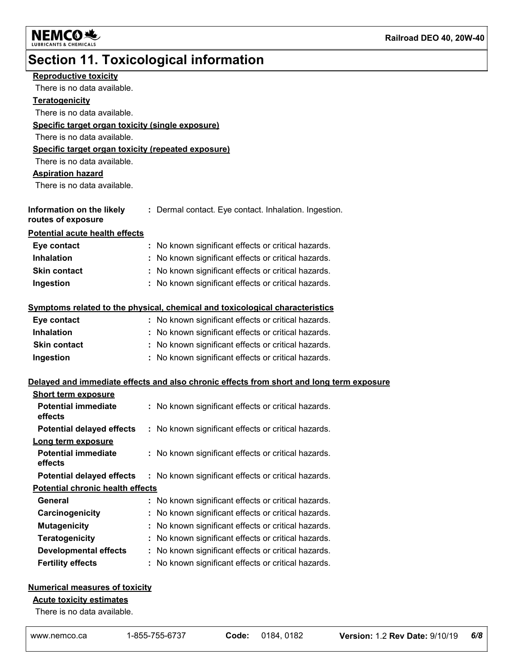

# **Section 11. Toxicological information**

| www.nemco.ca                                                                                            | Code:<br>0184, 0182<br>Version: 1.2 Rev Date: 9/10/19<br>1-855-755-6737                  | 6/8 |
|---------------------------------------------------------------------------------------------------------|------------------------------------------------------------------------------------------|-----|
| <b>Numerical measures of toxicity</b><br><b>Acute toxicity estimates</b><br>There is no data available. |                                                                                          |     |
|                                                                                                         |                                                                                          |     |
| <b>Fertility effects</b>                                                                                | : No known significant effects or critical hazards.                                      |     |
| <b>Developmental effects</b>                                                                            | : No known significant effects or critical hazards.                                      |     |
| <b>Teratogenicity</b>                                                                                   | No known significant effects or critical hazards.                                        |     |
| <b>Mutagenicity</b>                                                                                     | No known significant effects or critical hazards.                                        |     |
| Carcinogenicity                                                                                         | No known significant effects or critical hazards.                                        |     |
| General                                                                                                 | : No known significant effects or critical hazards.                                      |     |
| <b>Potential chronic health effects</b>                                                                 |                                                                                          |     |
| <b>Potential delayed effects</b>                                                                        | : No known significant effects or critical hazards.                                      |     |
| <b>Potential immediate</b><br>effects                                                                   | : No known significant effects or critical hazards.                                      |     |
| Long term exposure                                                                                      |                                                                                          |     |
| <b>Potential delayed effects</b>                                                                        | : No known significant effects or critical hazards.                                      |     |
| <b>Potential immediate</b><br>effects                                                                   | : No known significant effects or critical hazards.                                      |     |
| <b>Short term exposure</b>                                                                              |                                                                                          |     |
|                                                                                                         | Delayed and immediate effects and also chronic effects from short and long term exposure |     |
| Ingestion                                                                                               | : No known significant effects or critical hazards.                                      |     |
| <b>Skin contact</b>                                                                                     | : No known significant effects or critical hazards.                                      |     |
| <b>Inhalation</b>                                                                                       | : No known significant effects or critical hazards.                                      |     |
| Eye contact                                                                                             | : No known significant effects or critical hazards.                                      |     |
|                                                                                                         | Symptoms related to the physical, chemical and toxicological characteristics             |     |
| Ingestion                                                                                               | : No known significant effects or critical hazards.                                      |     |
| <b>Skin contact</b>                                                                                     | No known significant effects or critical hazards.                                        |     |
| <b>Inhalation</b>                                                                                       | : No known significant effects or critical hazards.                                      |     |
| Eye contact                                                                                             | : No known significant effects or critical hazards.                                      |     |
| <b>Potential acute health effects</b>                                                                   |                                                                                          |     |
| Information on the likely<br>routes of exposure                                                         | : Dermal contact. Eye contact. Inhalation. Ingestion.                                    |     |
| There is no data available.                                                                             |                                                                                          |     |
| <b>Aspiration hazard</b>                                                                                |                                                                                          |     |
| There is no data available.                                                                             |                                                                                          |     |
| Specific target organ toxicity (repeated exposure)                                                      |                                                                                          |     |
| There is no data available.                                                                             |                                                                                          |     |
| Specific target organ toxicity (single exposure)                                                        |                                                                                          |     |
| <b>Teratogenicity</b><br>There is no data available.                                                    |                                                                                          |     |
| There is no data available.                                                                             |                                                                                          |     |
| <b>Reproductive toxicity</b>                                                                            |                                                                                          |     |
|                                                                                                         |                                                                                          |     |

### **Acute toxicity estimates**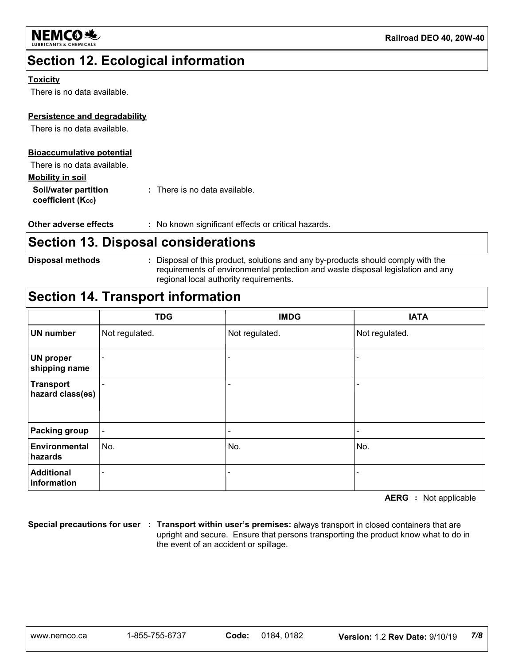

# **Section 12. Ecological information**

#### **Toxicity**

There is no data available.

### **Persistence and degradability**

There is no data available.

### **Bioaccumulative potential**

There is no data available.

#### **Mobility in soil**

**Soil/water partition**  coefficient (Koc) **:** There is no data available.

**Other adverse effects** : No known significant effects or critical hazards.

### **Section 13. Disposal considerations**

**Disposal methods :**

Disposal of this product, solutions and any by-products should comply with the requirements of environmental protection and waste disposal legislation and any regional local authority requirements.

## **Section 14. Transport information**

|                                      | <b>TDG</b>               | <b>IMDG</b>    | <b>IATA</b>              |
|--------------------------------------|--------------------------|----------------|--------------------------|
| <b>UN number</b>                     | Not regulated.           | Not regulated. | Not regulated.           |
| <b>UN proper</b><br>shipping name    | $\overline{\phantom{a}}$ |                |                          |
| <b>Transport</b><br>hazard class(es) | -                        |                |                          |
| <b>Packing group</b>                 | $\overline{\phantom{a}}$ |                | $\overline{\phantom{0}}$ |
| <b>Environmental</b><br>hazards      | No.                      | No.            | No.                      |
| <b>Additional</b><br>information     |                          |                |                          |

**AERG :** Not applicable

**Special precautions for user Transport within user's premises:** always transport in closed containers that are **:** upright and secure. Ensure that persons transporting the product know what to do in the event of an accident or spillage.